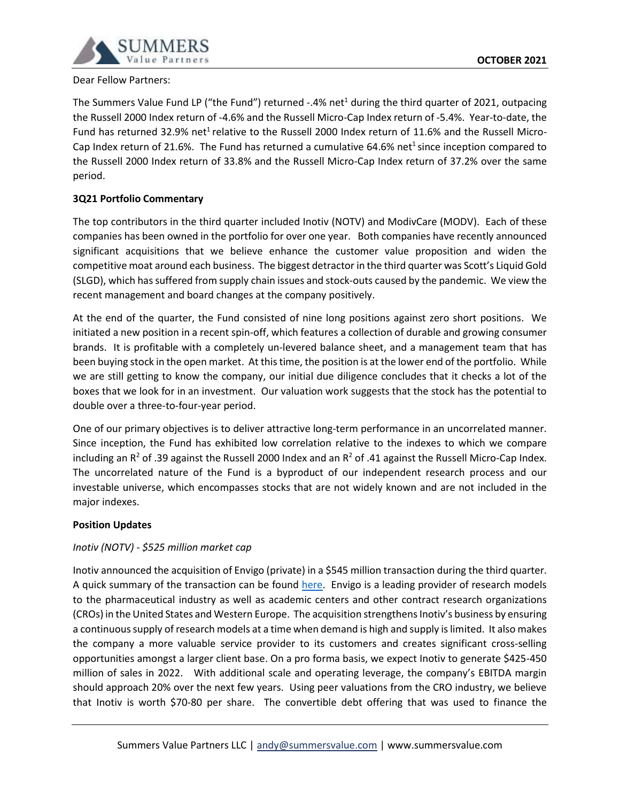

### Dear Fellow Partners:

The Summers Value Fund LP ("the Fund") returned -.4% net<sup>1</sup> during the third quarter of 2021, outpacing the Russell 2000 Index return of -4.6% and the Russell Micro-Cap Index return of -5.4%. Year-to-date, the Fund has returned 32.9% net<sup>1</sup> relative to the Russell 2000 Index return of 11.6% and the Russell Micro-Cap Index return of 21.6%. The Fund has returned a cumulative 64.6% net<sup>1</sup> since inception compared to the Russell 2000 Index return of 33.8% and the Russell Micro-Cap Index return of 37.2% over the same period.

# **3Q21 Portfolio Commentary**

The top contributors in the third quarter included Inotiv (NOTV) and ModivCare (MODV). Each of these companies has been owned in the portfolio for over one year. Both companies have recently announced significant acquisitions that we believe enhance the customer value proposition and widen the competitive moat around each business. The biggest detractor in the third quarter was Scott's Liquid Gold (SLGD), which has suffered from supply chain issues and stock-outs caused by the pandemic. We view the recent management and board changes at the company positively.

At the end of the quarter, the Fund consisted of nine long positions against zero short positions. We initiated a new position in a recent spin-off, which features a collection of durable and growing consumer brands. It is profitable with a completely un-levered balance sheet, and a management team that has been buying stock in the open market. At this time, the position is at the lower end of the portfolio. While we are still getting to know the company, our initial due diligence concludes that it checks a lot of the boxes that we look for in an investment. Our valuation work suggests that the stock has the potential to double over a three-to-four-year period.

One of our primary objectives is to deliver attractive long-term performance in an uncorrelated manner. Since inception, the Fund has exhibited low correlation relative to the indexes to which we compare including an  $R^2$  of .39 against the Russell 2000 Index and an  $R^2$  of .41 against the Russell Micro-Cap Index. The uncorrelated nature of the Fund is a byproduct of our independent research process and our investable universe, which encompasses stocks that are not widely known and are not included in the major indexes.

### **Position Updates**

# *Inotiv (NOTV) - \$525 million market cap*

Inotiv announced the acquisition of Envigo (private) in a \$545 million transaction during the third quarter. A quick summary of the transaction can be found [here.](https://insights.envigo.com/hubfs/resources/infographics/envigo-inotiv-infographic.pdf) Envigo is a leading provider of research models to the pharmaceutical industry as well as academic centers and other contract research organizations (CROs) in the United States and Western Europe. The acquisition strengthens Inotiv's business by ensuring a continuoussupply of research models at a time when demand is high and supply is limited. It also makes the company a more valuable service provider to its customers and creates significant cross-selling opportunities amongst a larger client base. On a pro forma basis, we expect Inotiv to generate \$425-450 million of sales in 2022. With additional scale and operating leverage, the company's EBITDA margin should approach 20% over the next few years. Using peer valuations from the CRO industry, we believe that Inotiv is worth \$70-80 per share. The convertible debt offering that was used to finance the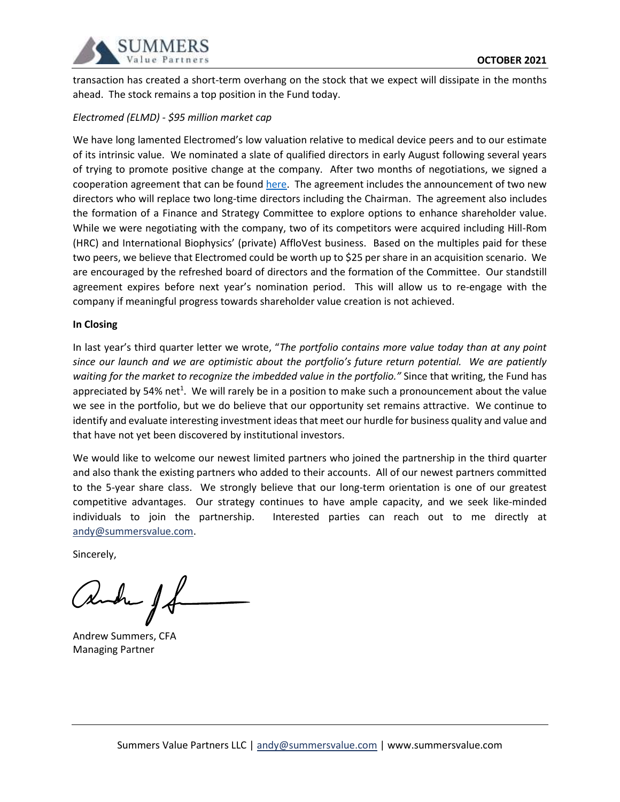

transaction has created a short-term overhang on the stock that we expect will dissipate in the months ahead. The stock remains a top position in the Fund today.

# *Electromed (ELMD) - \$95 million market cap*

We have long lamented Electromed's low valuation relative to medical device peers and to our estimate of its intrinsic value. We nominated a slate of qualified directors in early August following several years of trying to promote positive change at the company. After two months of negotiations, we signed a cooperation agreement that can be foun[d here.](https://www.sec.gov/ix?doc=/Archives/edgar/data/1488917/000089710121000771/elmd211186_8k.htm) The agreement includes the announcement of two new directors who will replace two long-time directors including the Chairman. The agreement also includes the formation of a Finance and Strategy Committee to explore options to enhance shareholder value. While we were negotiating with the company, two of its competitors were acquired including Hill-Rom (HRC) and International Biophysics' (private) AffloVest business. Based on the multiples paid for these two peers, we believe that Electromed could be worth up to \$25 per share in an acquisition scenario. We are encouraged by the refreshed board of directors and the formation of the Committee. Our standstill agreement expires before next year's nomination period. This will allow us to re-engage with the company if meaningful progress towards shareholder value creation is not achieved.

### **In Closing**

In last year's third quarter letter we wrote, "*The portfolio contains more value today than at any point since our launch and we are optimistic about the portfolio's future return potential. We are patiently waiting for the market to recognize the imbedded value in the portfolio."* Since that writing, the Fund has appreciated by 54% net<sup>1</sup>. We will rarely be in a position to make such a pronouncement about the value we see in the portfolio, but we do believe that our opportunity set remains attractive. We continue to identify and evaluate interesting investment ideas that meet our hurdle for business quality and value and that have not yet been discovered by institutional investors.

We would like to welcome our newest limited partners who joined the partnership in the third quarter and also thank the existing partners who added to their accounts. All of our newest partners committed to the 5-year share class. We strongly believe that our long-term orientation is one of our greatest competitive advantages. Our strategy continues to have ample capacity, and we seek like-minded individuals to join the partnership. Interested parties can reach out to me directly at [andy@summersvalue.com.](mailto:andy@summersvalue.com)

Sincerely,

Andrew Summers, CFA Managing Partner